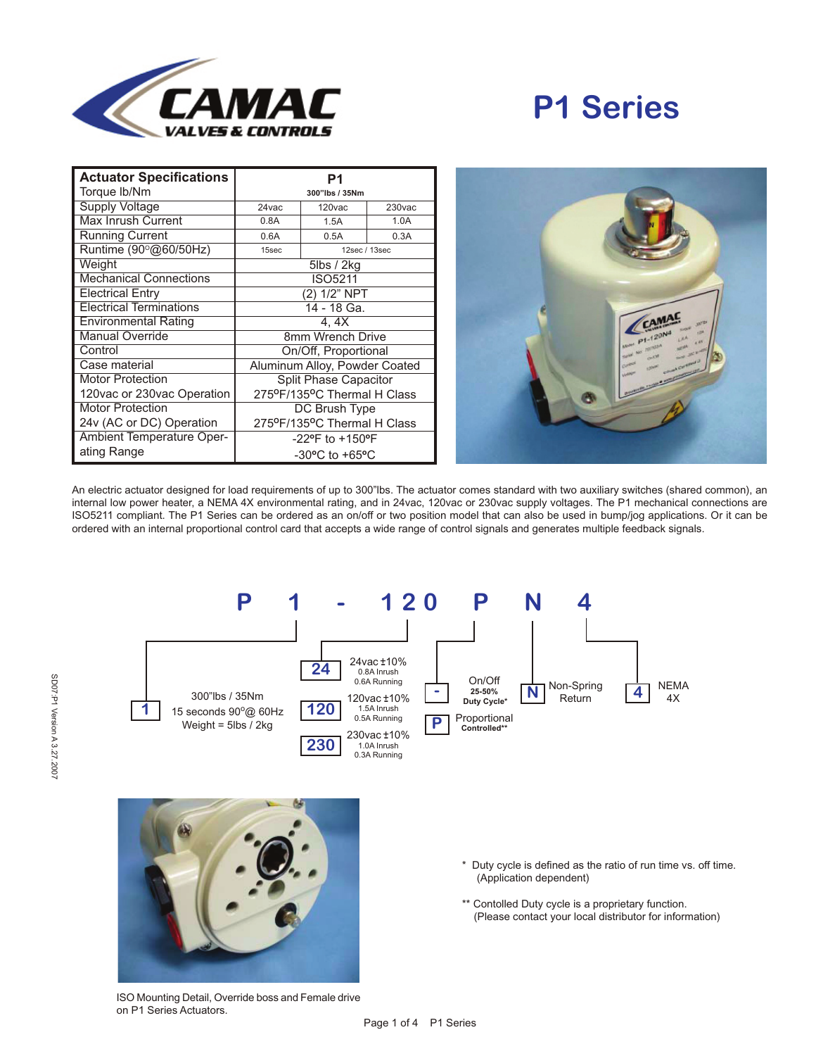

## **P1 Series**

| <b>Actuator Specifications</b>   | P1                                 |               |                    |
|----------------------------------|------------------------------------|---------------|--------------------|
| Torque lb/Nm                     | 300"lbs / 35Nm                     |               |                    |
| <b>Supply Voltage</b>            | 24 vac                             | 120vac        | 230 <sub>vac</sub> |
| Max Inrush Current               | 0.8A                               | 1.5A          | 1.0A               |
| <b>Running Current</b>           | 0.6A                               | 0.5A          | 0.3A               |
| Runtime (90°@60/50Hz)            | 15sec                              | 12sec / 13sec |                    |
| Weight                           | 5lbs / 2kg                         |               |                    |
| <b>Mechanical Connections</b>    | <b>ISO5211</b>                     |               |                    |
| <b>Electrical Entry</b>          | (2) 1/2" NPT                       |               |                    |
| <b>Electrical Terminations</b>   | 14 - 18 Ga.                        |               |                    |
| <b>Environmental Rating</b>      | 4. 4X                              |               |                    |
| <b>Manual Override</b>           | 8mm Wrench Drive                   |               |                    |
| Control                          | On/Off, Proportional               |               |                    |
| Case material                    | Aluminum Alloy, Powder Coated      |               |                    |
| <b>Motor Protection</b>          | <b>Split Phase Capacitor</b>       |               |                    |
| 120vac or 230vac Operation       | 275ºF/135ºC Thermal H Class        |               |                    |
| <b>Motor Protection</b>          | DC Brush Type                      |               |                    |
| 24v (AC or DC) Operation         | 275°F/135°C Thermal H Class        |               |                    |
| <b>Ambient Temperature Oper-</b> | $-22$ °F to $+150$ °F              |               |                    |
| ating Range                      | $-30^{\circ}$ C to $+65^{\circ}$ C |               |                    |



An electric actuator designed for load requirements of up to 300"lbs. The actuator comes standard with two auxiliary switches (shared common), an internal low power heater, a NEMA 4X environmental rating, and in 24vac, 120vac or 230vac supply voltages. The P1 mechanical connections are ISO5211 compliant. The P1 Series can be ordered as an on/off or two position model that can also be used in bump/jog applications. Or it can be ordered with an internal proportional control card that accepts a wide range of control signals and generates multiple feedback signals.





- \* Duty cycle is defined as the ratio of run time vs. off time. (Application dependent)
- \*\* Contolled Duty cycle is a proprietary function. (Please contact your local distributor for information)

ISO Mounting Detail, Override boss and Female drive on P1 Series Actuators.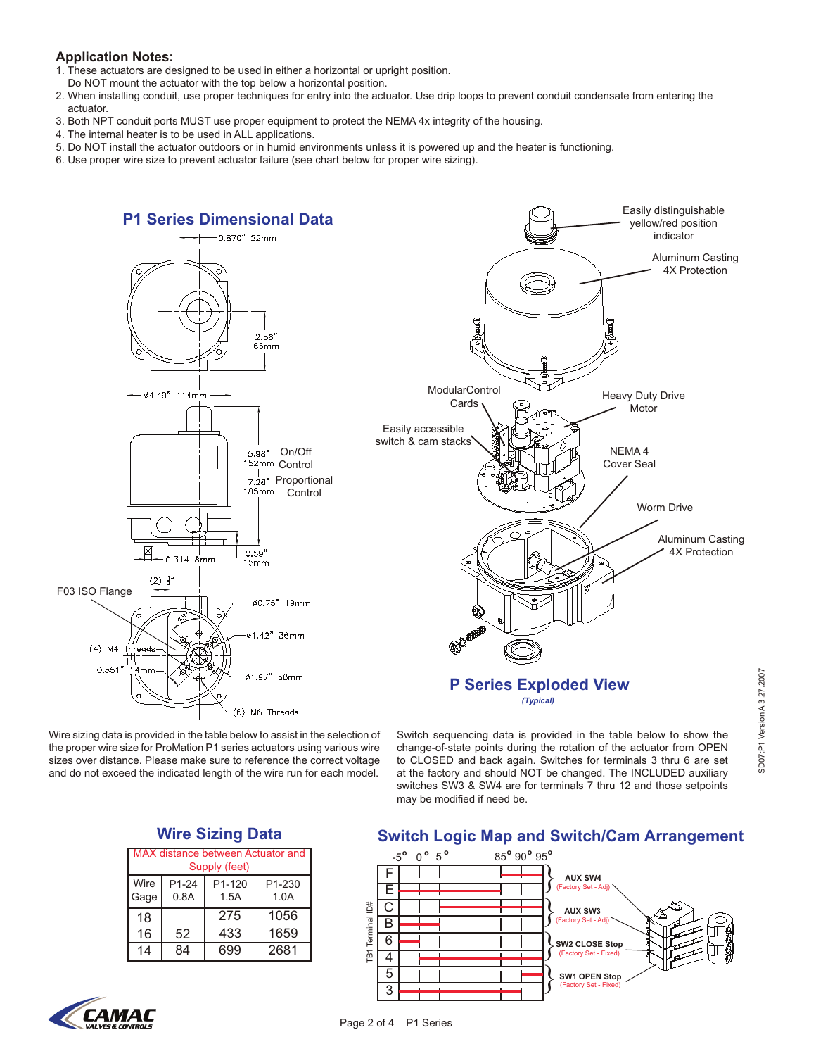## **Application Notes:**

- 1. These actuators are designed to be used in either a horizontal or upright position.
- Do NOT mount the actuator with the top below a horizontal position.
- 2. When installing conduit, use proper techniques for entry into the actuator. Use drip loops to prevent conduit condensate from entering the actuator.
- 3. Both NPT conduit ports MUST use proper equipment to protect the NEMA 4x integrity of the housing.
- 4. The internal heater is to be used in ALL applications.
- 5. Do NOT install the actuator outdoors or in humid environments unless it is powered up and the heater is functioning.
- 6. Use proper wire size to prevent actuator failure (see chart below for proper wire sizing).



Page 2 of 4 P1 Series

Wire sizing data is provided in the table below to assist in the selection of the proper wire size for ProMation P1 series actuators using various wire sizes over distance. Please make sure to reference the correct voltage and do not exceed the indicated length of the wire run for each model.

Switch sequencing data is provided in the table below to show the change-of-state points during the rotation of the actuator from OPEN to CLOSED and back again. Switches for terminals 3 thru 6 are set at the factory and should NOT be changed. The INCLUDED auxiliary switches SW3 & SW4 are for terminals 7 thru 12 and those setpoints may be modified if need be.



| MAX distance between Actuator and<br>Supply (feet) |               |                |                            |  |
|----------------------------------------------------|---------------|----------------|----------------------------|--|
| Wire<br>Gage                                       | P1-24<br>0.8A | P1-120<br>1.5A | P <sub>1-230</sub><br>1.0A |  |
| 18                                                 |               | 275            | 1056                       |  |
| 16                                                 | 52            | 433            | 1659                       |  |
| 14                                                 | 84            | 699            | 2681                       |  |



## **Switch Logic Map and Switch/Cam Arrangement**

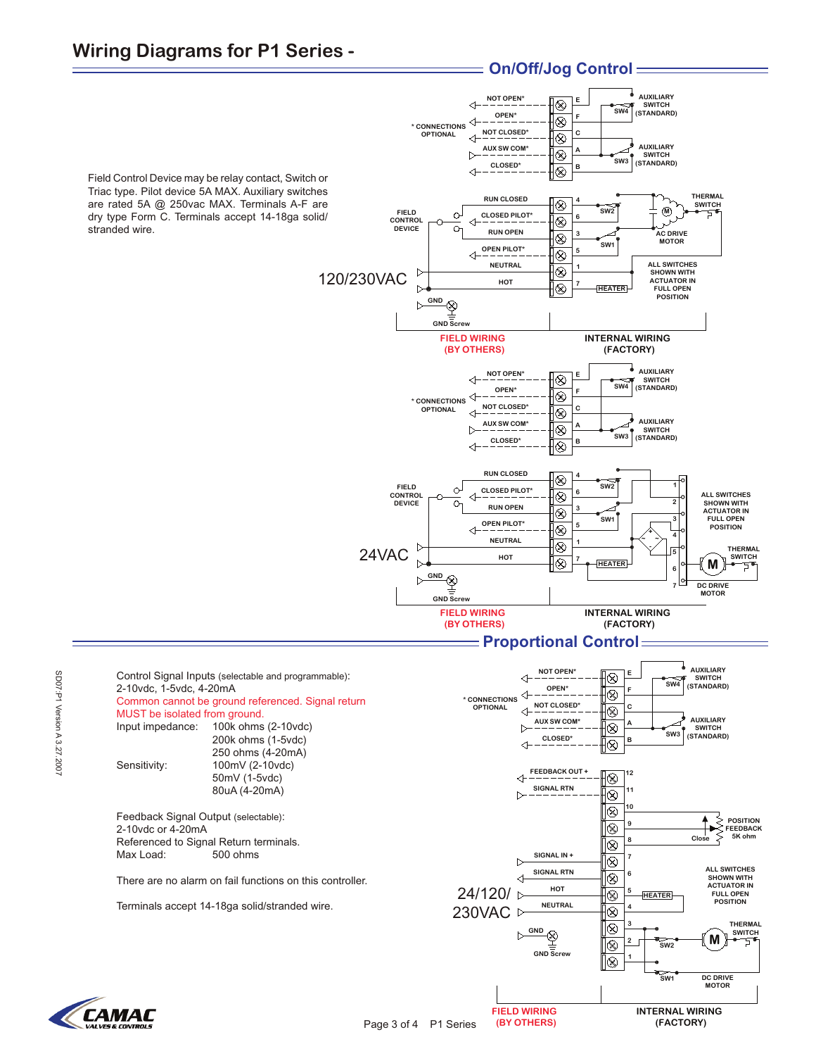## **Wiring Diagrams for P1 Series -**





**FIELD WIRING (BY OTHERS)** **INTERNAL WIRING (FACTORY)**